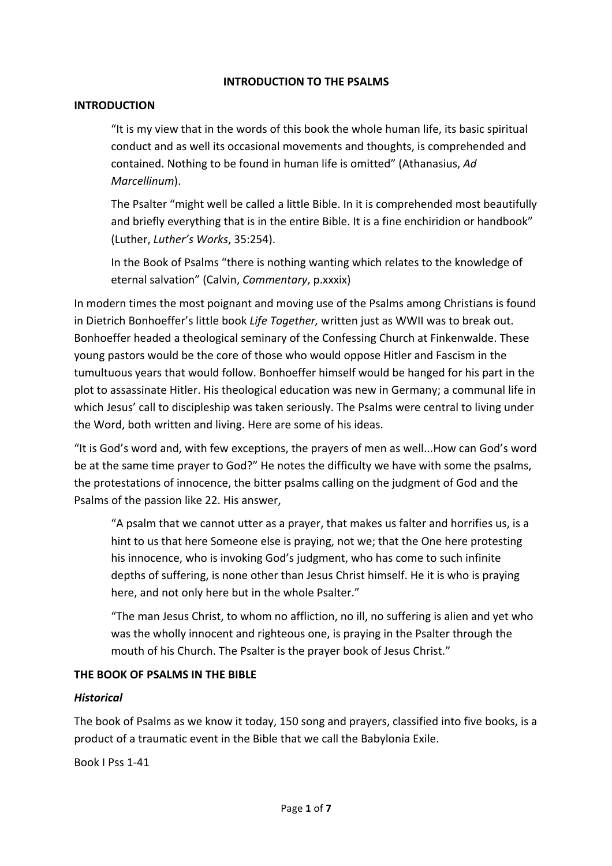### **INTRODUCTION TO THE PSALMS**

### **INTRODUCTION**

"It is my view that in the words of this book the whole human life, its basic spiritual conduct and as well its occasional movements and thoughts, is comprehended and contained. Nothing to be found in human life is omitted" (Athanasius, Ad *Marcellinum*).

The Psalter "might well be called a little Bible. In it is comprehended most beautifully and briefly everything that is in the entire Bible. It is a fine enchiridion or handbook" (Luther, *Luther's Works*, 35:254).

In the Book of Psalms "there is nothing wanting which relates to the knowledge of eternal salvation" (Calvin, *Commentary*, p.xxxix)

In modern times the most poignant and moving use of the Psalms among Christians is found in Dietrich Bonhoeffer's little book Life Together, written just as WWII was to break out. Bonhoeffer headed a theological seminary of the Confessing Church at Finkenwalde. These young pastors would be the core of those who would oppose Hitler and Fascism in the tumultuous years that would follow. Bonhoeffer himself would be hanged for his part in the plot to assassinate Hitler. His theological education was new in Germany; a communal life in which Jesus' call to discipleship was taken seriously. The Psalms were central to living under the Word, both written and living. Here are some of his ideas.

"It is God's word and, with few exceptions, the prayers of men as well...How can God's word be at the same time prayer to God?" He notes the difficulty we have with some the psalms, the protestations of innocence, the bitter psalms calling on the judgment of God and the Psalms of the passion like 22. His answer,

"A psalm that we cannot utter as a prayer, that makes us falter and horrifies us, is a hint to us that here Someone else is praying, not we; that the One here protesting his innocence, who is invoking God's judgment, who has come to such infinite depths of suffering, is none other than Jesus Christ himself. He it is who is praying here, and not only here but in the whole Psalter."

"The man Jesus Christ, to whom no affliction, no ill, no suffering is alien and yet who was the wholly innocent and righteous one, is praying in the Psalter through the mouth of his Church. The Psalter is the prayer book of Jesus Christ."

### **THE BOOK OF PSALMS IN THE BIBLE**

### *Historical*

The book of Psalms as we know it today, 150 song and prayers, classified into five books, is a product of a traumatic event in the Bible that we call the Babylonia Exile.

Book I Pss 1-41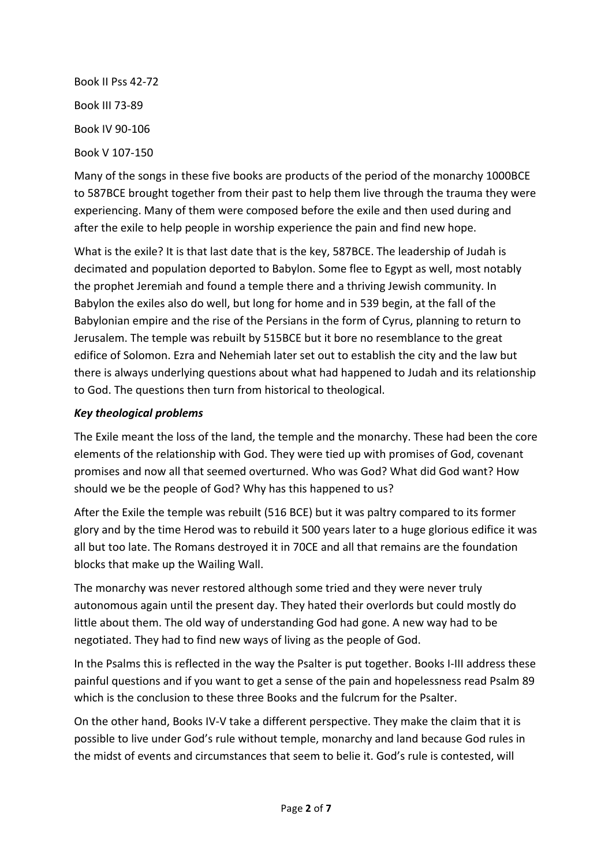Book II Pss 42-72 Book III 73-89 Book IV 90-106 Book V 107-150

Many of the songs in these five books are products of the period of the monarchy 1000BCE to 587BCE brought together from their past to help them live through the trauma they were experiencing. Many of them were composed before the exile and then used during and after the exile to help people in worship experience the pain and find new hope.

What is the exile? It is that last date that is the key, 587BCE. The leadership of Judah is decimated and population deported to Babylon. Some flee to Egypt as well, most notably the prophet Jeremiah and found a temple there and a thriving Jewish community. In Babylon the exiles also do well, but long for home and in 539 begin, at the fall of the Babylonian empire and the rise of the Persians in the form of Cyrus, planning to return to Jerusalem. The temple was rebuilt by 515BCE but it bore no resemblance to the great edifice of Solomon. Ezra and Nehemiah later set out to establish the city and the law but there is always underlying questions about what had happened to Judah and its relationship to God. The questions then turn from historical to theological.

# *Key theological problems*

The Exile meant the loss of the land, the temple and the monarchy. These had been the core elements of the relationship with God. They were tied up with promises of God, covenant promises and now all that seemed overturned. Who was God? What did God want? How should we be the people of God? Why has this happened to us?

After the Exile the temple was rebuilt (516 BCE) but it was paltry compared to its former glory and by the time Herod was to rebuild it 500 years later to a huge glorious edifice it was all but too late. The Romans destroyed it in 70CE and all that remains are the foundation blocks that make up the Wailing Wall.

The monarchy was never restored although some tried and they were never truly autonomous again until the present day. They hated their overlords but could mostly do little about them. The old way of understanding God had gone. A new way had to be negotiated. They had to find new ways of living as the people of God.

In the Psalms this is reflected in the way the Psalter is put together. Books I-III address these painful questions and if you want to get a sense of the pain and hopelessness read Psalm 89 which is the conclusion to these three Books and the fulcrum for the Psalter.

On the other hand, Books IV-V take a different perspective. They make the claim that it is possible to live under God's rule without temple, monarchy and land because God rules in the midst of events and circumstances that seem to belie it. God's rule is contested, will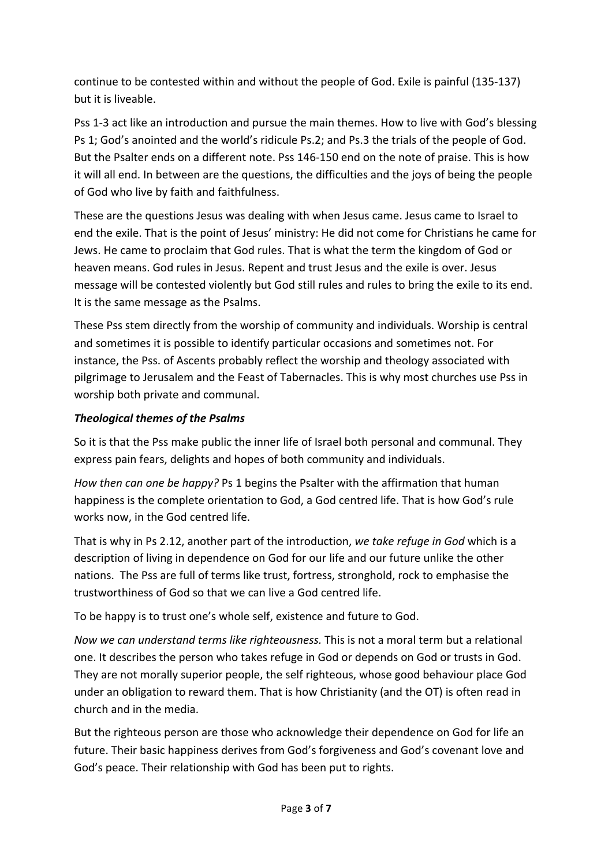continue to be contested within and without the people of God. Exile is painful (135-137) but it is liveable.

Pss 1-3 act like an introduction and pursue the main themes. How to live with God's blessing Ps 1; God's anointed and the world's ridicule Ps.2; and Ps.3 the trials of the people of God. But the Psalter ends on a different note. Pss 146-150 end on the note of praise. This is how it will all end. In between are the questions, the difficulties and the joys of being the people of God who live by faith and faithfulness.

These are the questions Jesus was dealing with when Jesus came. Jesus came to Israel to end the exile. That is the point of Jesus' ministry: He did not come for Christians he came for Jews. He came to proclaim that God rules. That is what the term the kingdom of God or heaven means. God rules in Jesus. Repent and trust Jesus and the exile is over. Jesus message will be contested violently but God still rules and rules to bring the exile to its end. It is the same message as the Psalms.

These Pss stem directly from the worship of community and individuals. Worship is central and sometimes it is possible to identify particular occasions and sometimes not. For instance, the Pss. of Ascents probably reflect the worship and theology associated with pilgrimage to Jerusalem and the Feast of Tabernacles. This is why most churches use Pss in worship both private and communal.

# *Theological themes of the Psalms*

So it is that the Pss make public the inner life of Israel both personal and communal. They express pain fears, delights and hopes of both community and individuals.

*How then can one be happy?* Ps 1 begins the Psalter with the affirmation that human happiness is the complete orientation to God, a God centred life. That is how God's rule works now, in the God centred life.

That is why in Ps 2.12, another part of the introduction, we take refuge in God which is a description of living in dependence on God for our life and our future unlike the other nations. The Pss are full of terms like trust, fortress, stronghold, rock to emphasise the trustworthiness of God so that we can live a God centred life.

To be happy is to trust one's whole self, existence and future to God.

*Now we can understand terms like righteousness.* This is not a moral term but a relational one. It describes the person who takes refuge in God or depends on God or trusts in God. They are not morally superior people, the self righteous, whose good behaviour place God under an obligation to reward them. That is how Christianity (and the OT) is often read in church and in the media.

But the righteous person are those who acknowledge their dependence on God for life an future. Their basic happiness derives from God's forgiveness and God's covenant love and God's peace. Their relationship with God has been put to rights.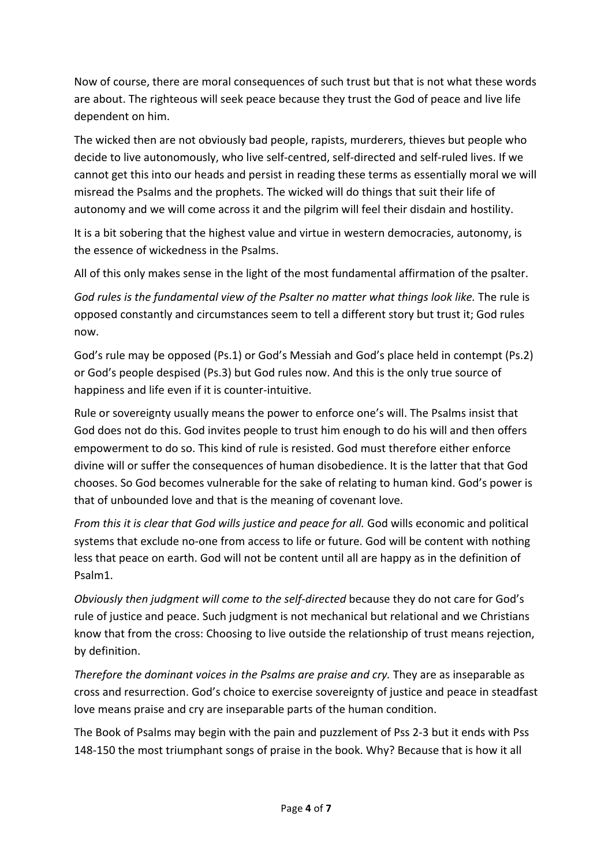Now of course, there are moral consequences of such trust but that is not what these words are about. The righteous will seek peace because they trust the God of peace and live life dependent on him.

The wicked then are not obviously bad people, rapists, murderers, thieves but people who decide to live autonomously, who live self-centred, self-directed and self-ruled lives. If we cannot get this into our heads and persist in reading these terms as essentially moral we will misread the Psalms and the prophets. The wicked will do things that suit their life of autonomy and we will come across it and the pilgrim will feel their disdain and hostility.

It is a bit sobering that the highest value and virtue in western democracies, autonomy, is the essence of wickedness in the Psalms.

All of this only makes sense in the light of the most fundamental affirmation of the psalter.

God rules is the fundamental view of the Psalter no matter what things look like. The rule is opposed constantly and circumstances seem to tell a different story but trust it; God rules now.

God's rule may be opposed (Ps.1) or God's Messiah and God's place held in contempt (Ps.2) or God's people despised (Ps.3) but God rules now. And this is the only true source of happiness and life even if it is counter-intuitive.

Rule or sovereignty usually means the power to enforce one's will. The Psalms insist that God does not do this. God invites people to trust him enough to do his will and then offers empowerment to do so. This kind of rule is resisted. God must therefore either enforce divine will or suffer the consequences of human disobedience. It is the latter that that God chooses. So God becomes vulnerable for the sake of relating to human kind. God's power is that of unbounded love and that is the meaning of covenant love.

*From this it is clear that God wills justice and peace for all. God wills economic and political* systems that exclude no-one from access to life or future. God will be content with nothing less that peace on earth. God will not be content until all are happy as in the definition of Psalm1.

*Obviously then judgment will come to the self-directed* because they do not care for God's rule of justice and peace. Such judgment is not mechanical but relational and we Christians know that from the cross: Choosing to live outside the relationship of trust means rejection, by definition.

*Therefore the dominant voices in the Psalms are praise and cry.* They are as inseparable as cross and resurrection. God's choice to exercise sovereignty of justice and peace in steadfast love means praise and cry are inseparable parts of the human condition.

The Book of Psalms may begin with the pain and puzzlement of Pss 2-3 but it ends with Pss 148-150 the most triumphant songs of praise in the book. Why? Because that is how it all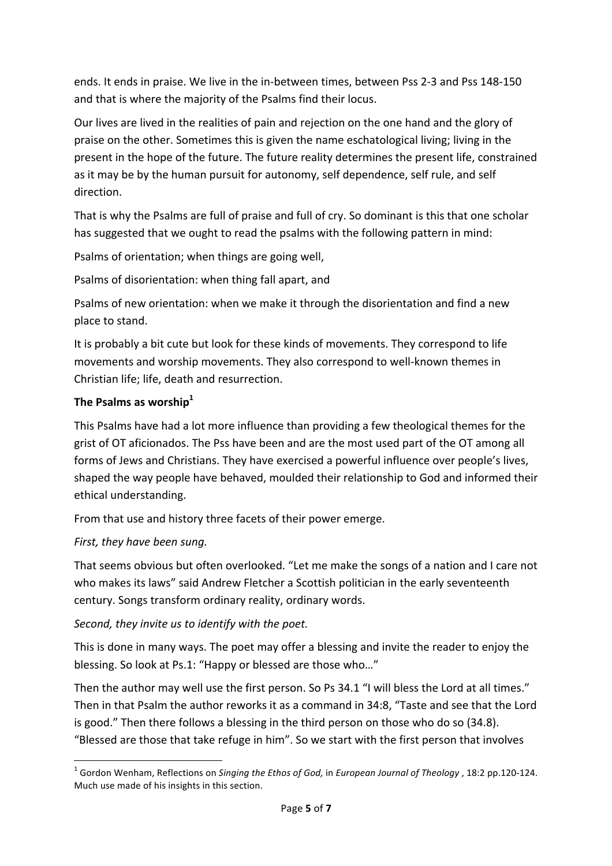ends. It ends in praise. We live in the in-between times, between Pss 2-3 and Pss 148-150 and that is where the majority of the Psalms find their locus.

Our lives are lived in the realities of pain and rejection on the one hand and the glory of praise on the other. Sometimes this is given the name eschatological living; living in the present in the hope of the future. The future reality determines the present life, constrained as it may be by the human pursuit for autonomy, self dependence, self rule, and self direction.

That is why the Psalms are full of praise and full of cry. So dominant is this that one scholar has suggested that we ought to read the psalms with the following pattern in mind:

Psalms of orientation; when things are going well,

Psalms of disorientation: when thing fall apart, and

Psalms of new orientation: when we make it through the disorientation and find a new place to stand.

It is probably a bit cute but look for these kinds of movements. They correspond to life movements and worship movements. They also correspond to well-known themes in Christian life; life, death and resurrection.

# The Psalms as worship<sup>1</sup>

This Psalms have had a lot more influence than providing a few theological themes for the grist of OT aficionados. The Pss have been and are the most used part of the OT among all forms of Jews and Christians. They have exercised a powerful influence over people's lives, shaped the way people have behaved, moulded their relationship to God and informed their ethical understanding.

From that use and history three facets of their power emerge.

# *First, they have been sung.*

<u> 1989 - Johann Barn, mars ann an t-Amhain an t-Amhain an t-Amhain an t-Amhain an t-Amhain an t-Amhain an t-Amh</u>

That seems obvious but often overlooked. "Let me make the songs of a nation and I care not who makes its laws" said Andrew Fletcher a Scottish politician in the early seventeenth century. Songs transform ordinary reality, ordinary words.

# Second, they invite us to identify with the poet.

This is done in many ways. The poet may offer a blessing and invite the reader to enjoy the blessing. So look at Ps.1: "Happy or blessed are those who..."

Then the author may well use the first person. So Ps 34.1 "I will bless the Lord at all times." Then in that Psalm the author reworks it as a command in 34:8, "Taste and see that the Lord is good." Then there follows a blessing in the third person on those who do so  $(34.8)$ . "Blessed are those that take refuge in him". So we start with the first person that involves

<sup>&</sup>lt;sup>1</sup> Gordon Wenham, Reflections on *Singing the Ethos of God,* in *European Journal of Theology* , 18:2 pp.120-124. Much use made of his insights in this section.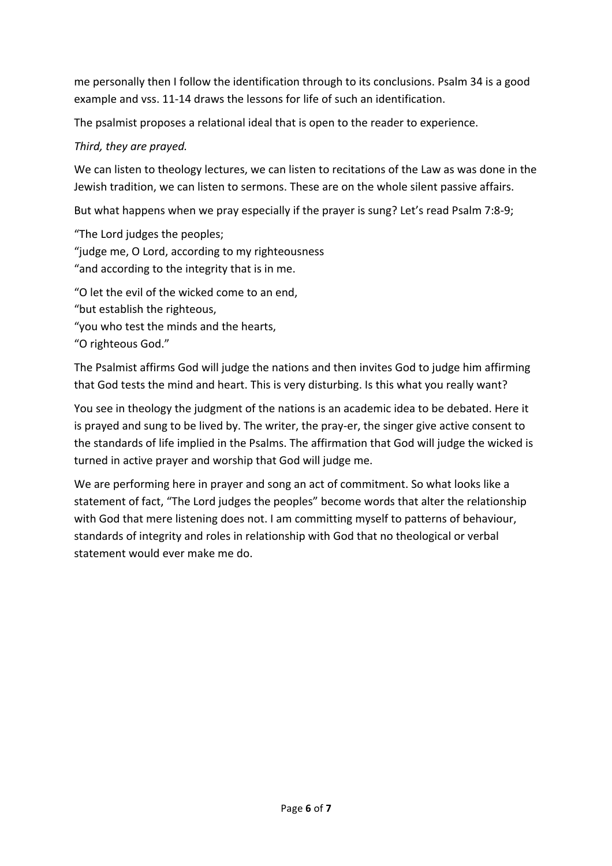me personally then I follow the identification through to its conclusions. Psalm 34 is a good example and vss. 11-14 draws the lessons for life of such an identification.

The psalmist proposes a relational ideal that is open to the reader to experience.

# Third, they are prayed.

We can listen to theology lectures, we can listen to recitations of the Law as was done in the Jewish tradition, we can listen to sermons. These are on the whole silent passive affairs.

But what happens when we pray especially if the prayer is sung? Let's read Psalm 7:8-9;

"The Lord judges the peoples; "judge me, O Lord, according to my righteousness "and according to the integrity that is in me.

"O let the evil of the wicked come to an end, "but establish the righteous, "you who test the minds and the hearts, "O righteous God."

The Psalmist affirms God will judge the nations and then invites God to judge him affirming that God tests the mind and heart. This is very disturbing. Is this what you really want?

You see in theology the judgment of the nations is an academic idea to be debated. Here it is prayed and sung to be lived by. The writer, the pray-er, the singer give active consent to the standards of life implied in the Psalms. The affirmation that God will judge the wicked is turned in active prayer and worship that God will judge me.

We are performing here in prayer and song an act of commitment. So what looks like a statement of fact, "The Lord judges the peoples" become words that alter the relationship with God that mere listening does not. I am committing myself to patterns of behaviour, standards of integrity and roles in relationship with God that no theological or verbal statement would ever make me do.